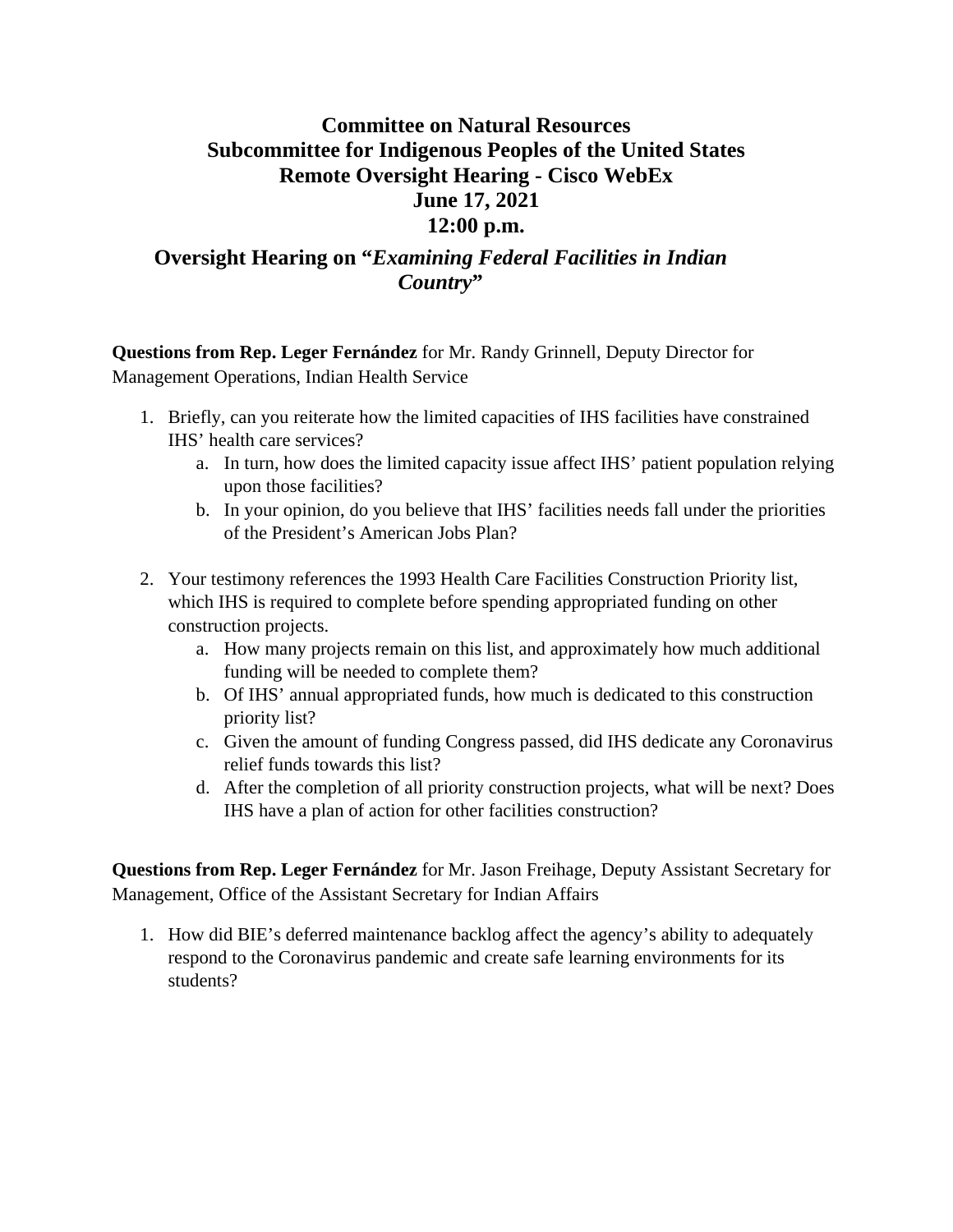## **Committee on Natural Resources Subcommittee for Indigenous Peoples of the United States Remote Oversight Hearing - Cisco WebEx June 17, 2021 12:00 p.m.**

## **Oversight Hearing on "***Examining Federal Facilities in Indian Country***"**

**Questions from Rep. Leger Fernández** for Mr. Randy Grinnell, Deputy Director for Management Operations, Indian Health Service

- 1. Briefly, can you reiterate how the limited capacities of IHS facilities have constrained IHS' health care services?
	- a. In turn, how does the limited capacity issue affect IHS' patient population relying upon those facilities?
	- b. In your opinion, do you believe that IHS' facilities needs fall under the priorities of the President's American Jobs Plan?
- 2. Your testimony references the 1993 Health Care Facilities Construction Priority list, which IHS is required to complete before spending appropriated funding on other construction projects.
	- a. How many projects remain on this list, and approximately how much additional funding will be needed to complete them?
	- b. Of IHS' annual appropriated funds, how much is dedicated to this construction priority list?
	- c. Given the amount of funding Congress passed, did IHS dedicate any Coronavirus relief funds towards this list?
	- d. After the completion of all priority construction projects, what will be next? Does IHS have a plan of action for other facilities construction?

**Questions from Rep. Leger Fernández** for Mr. Jason Freihage, Deputy Assistant Secretary for Management, Office of the Assistant Secretary for Indian Affairs

1. How did BIE's deferred maintenance backlog affect the agency's ability to adequately respond to the Coronavirus pandemic and create safe learning environments for its students?